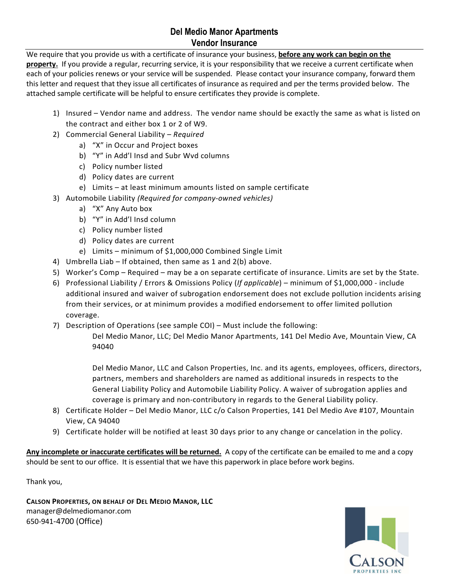## **Del Medio Manor Apartments Vendor Insurance**

We require that you provide us with a certificate of insurance your business, **before any work can begin on the**  property. If you provide a regular, recurring service, it is your responsibility that we receive a current certificate when each of your policies renews or your service will be suspended. Please contact your insurance company, forward them this letter and request that they issue all certificates of insurance as required and per the terms provided below. The attached sample certificate will be helpful to ensure certificates they provide is complete.

- 1) Insured Vendor name and address. The vendor name should be exactly the same as what is listed on the contract and either box 1 or 2 of W9.
- 2) Commercial General Liability *Required*
	- a) "X" in Occur and Project boxes
	- b) "Y" in Add'l Insd and Subr Wvd columns
	- c) Policy number listed
	- d) Policy dates are current
	- e) Limits at least minimum amounts listed on sample certificate
- 3) Automobile Liability *(Required for company-owned vehicles)*
	- a) "X" Any Auto box
	- b) "Y" in Add'l Insd column
	- c) Policy number listed
	- d) Policy dates are current
	- e) Limits minimum of \$1,000,000 Combined Single Limit
- 4) Umbrella Liab If obtained, then same as 1 and 2(b) above.
- 5) Worker's Comp Required may be a on separate certificate of insurance. Limits are set by the State.
- 6) Professional Liability / Errors & Omissions Policy (*If applicable*) minimum of \$1,000,000 include additional insured and waiver of subrogation endorsement does not exclude pollution incidents arising from their services, or at minimum provides a modified endorsement to offer limited pollution coverage.
- 7) Description of Operations (see sample COI) Must include the following:
	- Del Medio Manor, LLC; Del Medio Manor Apartments, 141 Del Medio Ave, Mountain View, CA 94040

Del Medio Manor, LLC and Calson Properties, Inc. and its agents, employees, officers, directors, partners, members and shareholders are named as additional insureds in respects to the General Liability Policy and Automobile Liability Policy. A waiver of subrogation applies and coverage is primary and non-contributory in regards to the General Liability policy.

- 8) Certificate Holder Del Medio Manor, LLC c/o Calson Properties, 141 Del Medio Ave #107, Mountain View, CA 94040
- 9) Certificate holder will be notified at least 30 days prior to any change or cancelation in the policy.

**Any incomplete or inaccurate certificates will be returned.** A copy of the certificate can be emailed to me and a copy should be sent to our office. It is essential that we have this paperwork in place before work begins.

Thank you,

**CALSON PROPERTIES, ON BEHALF OF DEL MEDIO MANOR, LLC** manager@delmediomanor.com 650-941-4700 (Office)